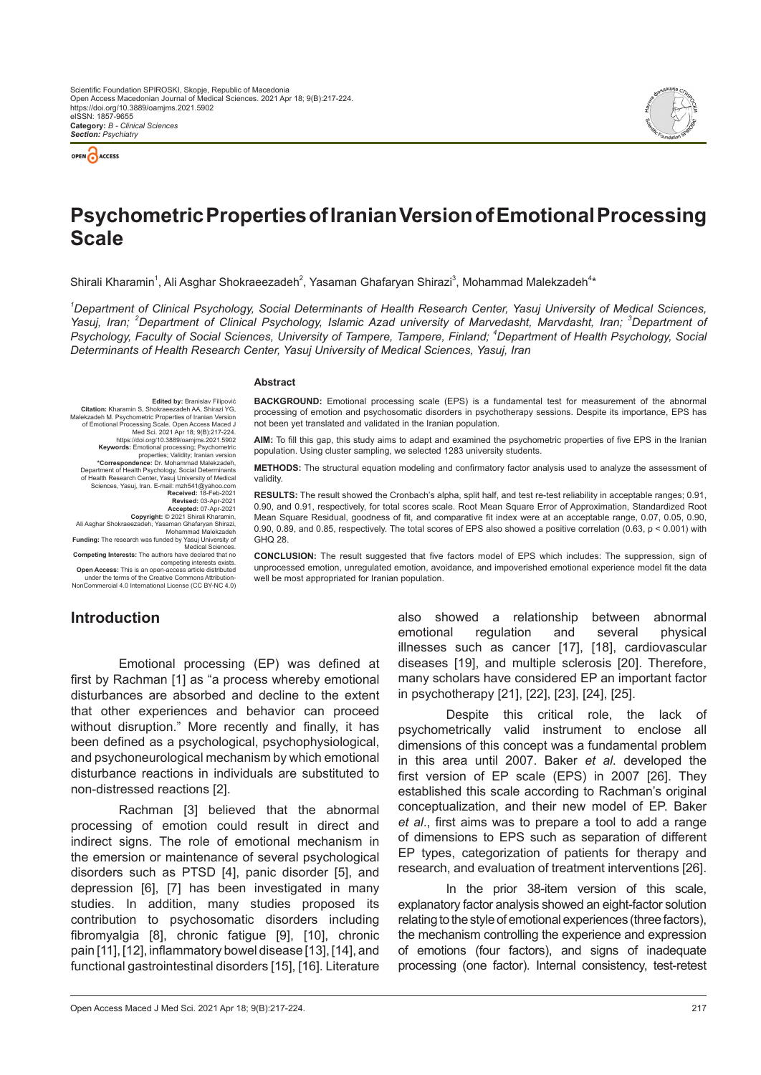



# **Psychometric Properties of Iranian Version of Emotional Processing Scale**

Shirali Kharamin<sup>1</sup>, Ali Asghar Shokraeezadeh<sup>2</sup>, Yasaman Ghafaryan Shirazi<sup>3</sup>, Mohammad Malekzadeh<sup>4\*</sup>

<sup>1</sup>Department of Clinical Psychology, Social Determinants of Health Research Center, Yasuj University of Medical Sciences, Yasuj, Iran; <sup>2</sup>Department of Clinical Psychology, Islamic Azad university of Marvedasht, Marvdasht, Iran; <sup>3</sup>Department of *Psychology, Faculty of Social Sciences, University of Tampere, Tampere, Finland; <sup>4</sup> Department of Health Psychology, Social Determinants of Health Research Center, Yasuj University of Medical Sciences, Yasuj, Iran*

#### **Abstract**

**Edited by: Branislav Filipovich Citation:** Kharamin S, Shokraeezadeh AA, Shirazi YG, Malekzadeh M. Psychometric Properties of Iranian Version of Emotional Processing Scale. Open Access Maced<br>Med Sci. 2021 Apr 18; 9(B):217-224.<br>https://doi.org/10.3889/oamjms.2021.5902<br>**Keywords:** Emotional processing; Psychometric<br>properties; Validity, Iranian version<br>**Correspond** Department of Health Psychology, Social Determinants of Health Research Center, Yasuj University of Medical<br>Sciences, Yasuj, Iran. E-mail: mzh541@yahoo.com<br>Received: 18-Feb-2021<br>Revised: 03-Apr-2021<br>Accepted: 07-Apr-2021<br>Copyright: © 2021 Shirali Kharamin, Ali Asghar Shokraeezadeh, Yasaman Ghafaryan Shirazi, Mohammad Malekzadeh **Funding:** The research was funded by Yasuj University of

**BACKGROUND:** Emotional processing scale (EPS) is a fundamental test for measurement of the abnormal processing of emotion and psychosomatic disorders in psychotherapy sessions. Despite its importance, EPS has not been yet translated and validated in the Iranian population.

**AIM:** To fill this gap, this study aims to adapt and examined the psychometric properties of five EPS in the Iranian population. Using cluster sampling, we selected 1283 university students.

**METHODS:** The structural equation modeling and confirmatory factor analysis used to analyze the assessment of validity

**RESULTS:** The result showed the Cronbach's alpha, split half, and test re-test reliability in acceptable ranges; 0.91, 0.90, and 0.91, respectively, for total scores scale. Root Mean Square Error of Approximation, Standardized Root Mean Square Residual, goodness of fit, and comparative fit index were at an acceptable range, 0.07, 0.05, 0.90, 0.90, 0.89, and 0.85, respectively. The total scores of EPS also showed a positive correlation (0.63, p < 0.001) with GHQ 28.

Medical Sciences.<br> **Competing Interests:** The authors have declared that no<br>
competing interests exists.<br> **Open Access:** This is an open-access article distributed

under the terms of the Creative Commons Attribution-NonCommercial 4.0 International License (CC BY-NC 4.0)

#### **CONCLUSION:** The result suggested that five factors model of EPS which includes: The suppression, sign of unprocessed emotion, unregulated emotion, avoidance, and impoverished emotional experience model fit the data well be most appropriated for Iranian population.

# **Introduction**

Emotional processing (EP) was defined at first by Rachman [1] as "a process whereby emotional disturbances are absorbed and decline to the extent that other experiences and behavior can proceed without disruption." More recently and finally, it has been defined as a psychological, psychophysiological, and psychoneurological mechanism by which emotional disturbance reactions in individuals are substituted to non-distressed reactions [2].

Rachman [3] believed that the abnormal processing of emotion could result in direct and indirect signs. The role of emotional mechanism in the emersion or maintenance of several psychological disorders such as PTSD [4], panic disorder [5], and depression [6], [7] has been investigated in many studies. In addition, many studies proposed its contribution to psychosomatic disorders including fibromyalgia [8], chronic fatigue [9], [10], chronic pain [11], [12], inflammatory bowel disease [13], [14], and functional gastrointestinal disorders [15], [16]. Literature also showed a relationship between abnormal emotional regulation and several physical illnesses such as cancer [17], [18], cardiovascular diseases [19], and multiple sclerosis [20]. Therefore, many scholars have considered EP an important factor in psychotherapy [21], [22], [23], [24], [25].

Despite this critical role, the lack of psychometrically valid instrument to enclose all dimensions of this concept was a fundamental problem in this area until 2007. Baker *et al*. developed the first version of EP scale (EPS) in 2007 [26]. They established this scale according to Rachman's original conceptualization, and their new model of EP. Baker *et al*., first aims was to prepare a tool to add a range of dimensions to EPS such as separation of different EP types, categorization of patients for therapy and research, and evaluation of treatment interventions [26].

In the prior 38-item version of this scale, explanatory factor analysis showed an eight-factor solution relating to the style of emotional experiences (three factors), the mechanism controlling the experience and expression of emotions (four factors), and signs of inadequate processing (one factor). Internal consistency, test-retest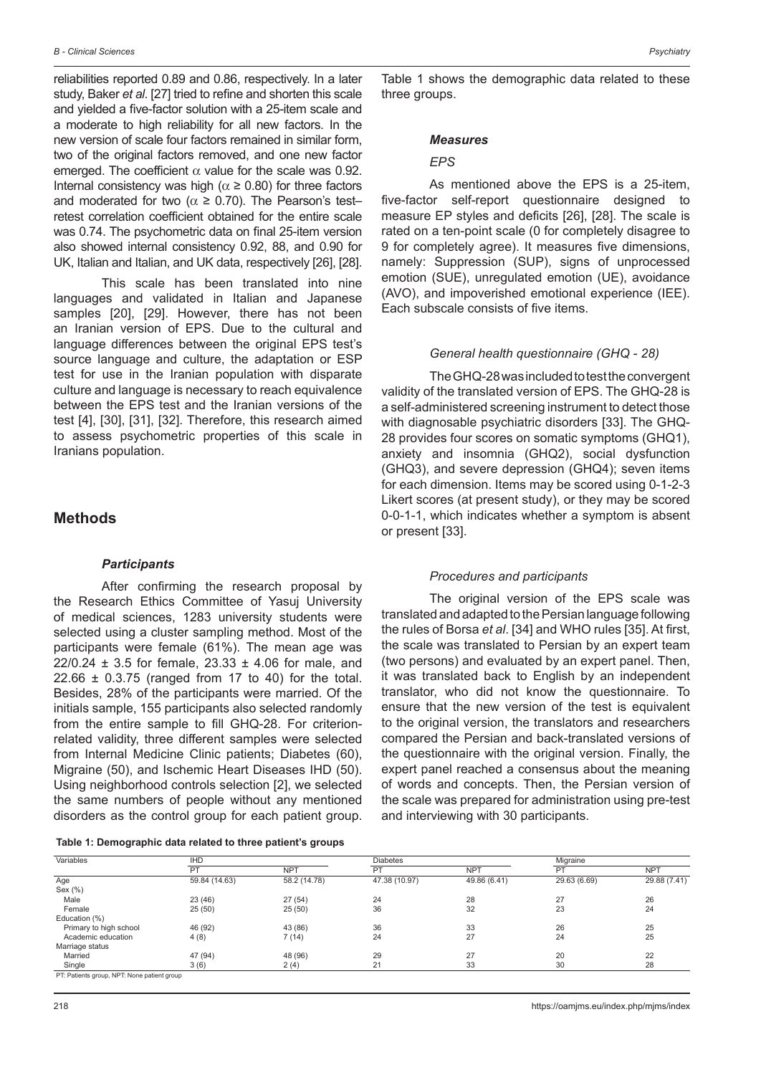reliabilities reported 0.89 and 0.86, respectively. In a later study, Baker *et al*. [27] tried to refine and shorten this scale and yielded a five-factor solution with a 25-item scale and a moderate to high reliability for all new factors. In the new version of scale four factors remained in similar form, two of the original factors removed, and one new factor emerged. The coefficient  $\alpha$  value for the scale was 0.92. Internal consistency was high ( $\alpha \ge 0.80$ ) for three factors and moderated for two ( $\alpha \ge 0.70$ ). The Pearson's testretest correlation coefficient obtained for the entire scale was 0.74. The psychometric data on final 25-item version also showed internal consistency 0.92, 88, and 0.90 for UK, Italian and Italian, and UK data, respectively [26], [28].

This scale has been translated into nine languages and validated in Italian and Japanese samples [20], [29]. However, there has not been an Iranian version of EPS. Due to the cultural and language differences between the original EPS test's source language and culture, the adaptation or ESP test for use in the Iranian population with disparate culture and language is necessary to reach equivalence between the EPS test and the Iranian versions of the test [4], [30], [31], [32]. Therefore, this research aimed to assess psychometric properties of this scale in Iranians population.

### **Methods**

#### *Participants*

After confirming the research proposal by the Research Ethics Committee of Yasuj University of medical sciences, 1283 university students were selected using a cluster sampling method. Most of the participants were female (61%). The mean age was 22/0.24 ± 3.5 for female, 23.33 ± 4.06 for male, and  $22.66 \pm 0.3.75$  (ranged from 17 to 40) for the total. Besides, 28% of the participants were married. Of the initials sample, 155 participants also selected randomly from the entire sample to fill GHQ-28. For criterionrelated validity, three different samples were selected from Internal Medicine Clinic patients; Diabetes (60), Migraine (50), and Ischemic Heart Diseases IHD (50). Using neighborhood controls selection [2], we selected the same numbers of people without any mentioned disorders as the control group for each patient group.

| Table 1: Demographic data related to three patient's groups |  |  |  |  |
|-------------------------------------------------------------|--|--|--|--|
|-------------------------------------------------------------|--|--|--|--|

Table 1 shows the demographic data related to these three groups.

#### *Measures*

#### *EPS*

As mentioned above the EPS is a 25-item, five-factor self-report questionnaire designed to measure EP styles and deficits [26], [28]. The scale is rated on a ten-point scale (0 for completely disagree to 9 for completely agree). It measures five dimensions, namely: Suppression (SUP), signs of unprocessed emotion (SUE), unregulated emotion (UE), avoidance (AVO), and impoverished emotional experience (IEE). Each subscale consists of five items.

#### *General health questionnaire (GHQ - 28)*

The GHQ-28 was included to test the convergent validity of the translated version of EPS. The GHQ-28 is a self-administered screening instrument to detect those with diagnosable psychiatric disorders [33]. The GHQ-28 provides four scores on somatic symptoms (GHQ1), anxiety and insomnia (GHQ2), social dysfunction (GHQ3), and severe depression (GHQ4); seven items for each dimension. Items may be scored using 0-1-2-3 Likert scores (at present study), or they may be scored 0-0-1-1, which indicates whether a symptom is absent or present [33].

#### *Procedures and participants*

The original version of the EPS scale was translated and adapted to the Persian language following the rules of Borsa *et al*. [34] and WHO rules [35]. At first, the scale was translated to Persian by an expert team (two persons) and evaluated by an expert panel. Then, it was translated back to English by an independent translator, who did not know the questionnaire. To ensure that the new version of the test is equivalent to the original version, the translators and researchers compared the Persian and back-translated versions of the questionnaire with the original version. Finally, the expert panel reached a consensus about the meaning of words and concepts. Then, the Persian version of the scale was prepared for administration using pre-test and interviewing with 30 participants.

| Variables                                   | <b>IHD</b>    |              | <b>Diabetes</b> |              | Migraine     |              |
|---------------------------------------------|---------------|--------------|-----------------|--------------|--------------|--------------|
|                                             | PT            | <b>NPT</b>   | PT              | <b>NPT</b>   | PT           | <b>NPT</b>   |
| Age                                         | 59.84 (14.63) | 58.2 (14.78) | 47.38 (10.97)   | 49.86 (6.41) | 29.63 (6.69) | 29.88 (7.41) |
| Sex $(\%)$                                  |               |              |                 |              |              |              |
| Male                                        | 23 (46)       | 27(54)       | 24              | 28           | 27           | 26           |
| Female                                      | 25(50)        | 25(50)       | 36              | 32           | 23           | 24           |
| Education (%)                               |               |              |                 |              |              |              |
| Primary to high school                      | 46 (92)       | 43 (86)      | 36              | 33           | 26           | 25           |
| Academic education                          | 4(8)          | 7(14)        | 24              | 27           | 24           | 25           |
| Marriage status                             |               |              |                 |              |              |              |
| Married                                     | 47 (94)       | 48 (96)      | 29              | 27           | 20           | 22           |
| Single                                      | 3(6)          | 2(4)         | 21              | 33           | 30           | 28           |
| PT: Patients group. NPT: None patient group |               |              |                 |              |              |              |

PT: Patients group, NPT: None patient group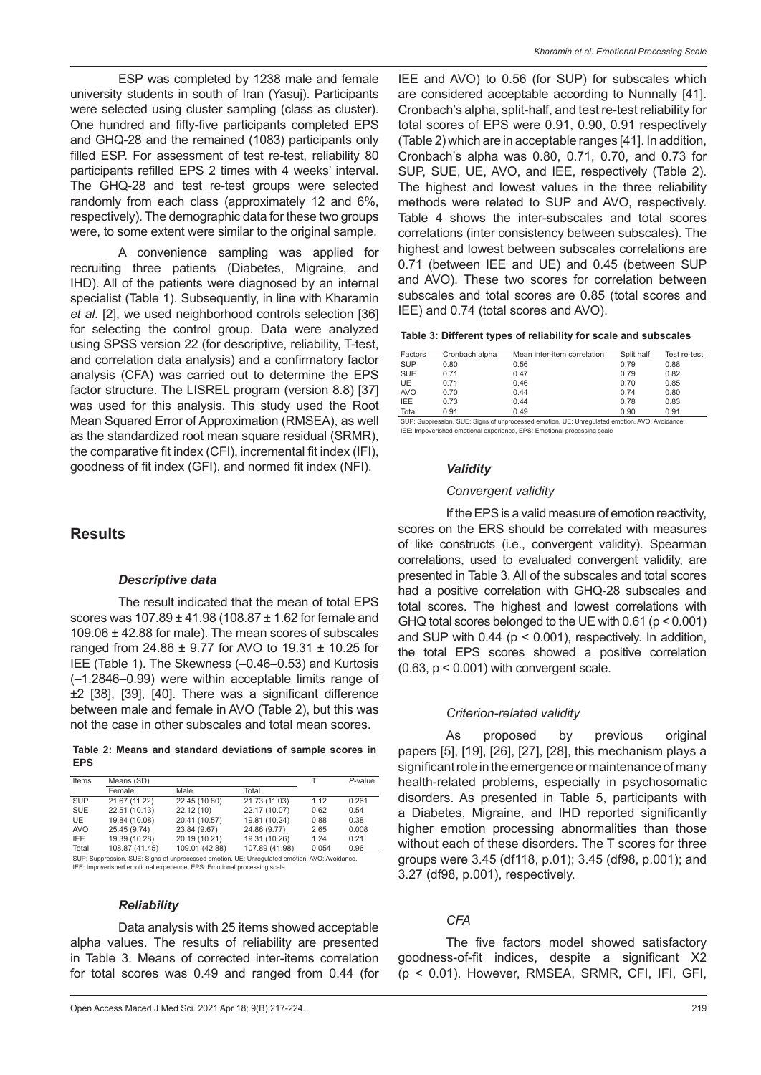ESP was completed by 1238 male and female university students in south of Iran (Yasuj). Participants were selected using cluster sampling (class as cluster). One hundred and fifty-five participants completed EPS and GHQ-28 and the remained (1083) participants only filled ESP. For assessment of test re-test, reliability 80 participants refilled EPS 2 times with 4 weeks' interval. The GHQ-28 and test re-test groups were selected randomly from each class (approximately 12 and 6%, respectively). The demographic data for these two groups were, to some extent were similar to the original sample.

A convenience sampling was applied for recruiting three patients (Diabetes, Migraine, and IHD). All of the patients were diagnosed by an internal specialist (Table 1). Subsequently, in line with Kharamin *et al*. [2], we used neighborhood controls selection [36] for selecting the control group. Data were analyzed using SPSS version 22 (for descriptive, reliability, T-test, and correlation data analysis) and a confirmatory factor analysis (CFA) was carried out to determine the EPS factor structure. The LISREL program (version 8.8) [37] was used for this analysis. This study used the Root Mean Squared Error of Approximation (RMSEA), as well as the standardized root mean square residual (SRMR), the comparative fit index (CFI), incremental fit index (IFI), goodness of fit index (GFI), and normed fit index (NFI).

## **Results**

#### *Descriptive data*

The result indicated that the mean of total EPS scores was 107.89 ± 41.98 (108.87 ± 1.62 for female and 109.06 ± 42.88 for male). The mean scores of subscales ranged from 24.86 ± 9.77 for AVO to 19.31 ± 10.25 for IEE (Table 1). The Skewness (–0.46–0.53) and Kurtosis (–1.2846–0.99) were within acceptable limits range of ±2 [38], [39], [40]. There was a significant difference between male and female in AVO (Table 2), but this was not the case in other subscales and total mean scores.

**Table 2: Means and standard deviations of sample scores in EPS**

| Items      | Means (SD)                                                                                    |                | P-value        |       |       |
|------------|-----------------------------------------------------------------------------------------------|----------------|----------------|-------|-------|
|            | Female                                                                                        | Male           | Total          |       |       |
| <b>SUP</b> | 21.67 (11.22)                                                                                 | 22.45 (10.80)  | 21.73 (11.03)  | 1.12  | 0.261 |
| <b>SUE</b> | 22.51 (10.13)                                                                                 | 22.12 (10)     | 22.17 (10.07)  | 0.62  | 0.54  |
| <b>UE</b>  | 19.84 (10.08)                                                                                 | 20.41 (10.57)  | 19.81 (10.24)  | 0.88  | 0.38  |
| <b>AVO</b> | 25.45 (9.74)                                                                                  | 23.84 (9.67)   | 24.86 (9.77)   | 2.65  | 0.008 |
| IEE.       | 19.39 (10.28)                                                                                 | 20.19 (10.21)  | 19.31 (10.26)  | 1.24  | 0.21  |
| Total      | 108.87 (41.45)                                                                                | 109.01 (42.88) | 107.89 (41.98) | 0.054 | 0.96  |
|            | SUP: Suppression, SUE: Signs of unprocessed emotion, UE: Unrequisited emotion, AVO: Avoidance |                |                |       |       |

IEE: Impoverished emotional experience, EPS: Emotional processing scale

#### *Reliability*

Data analysis with 25 items showed acceptable alpha values. The results of reliability are presented in Table 3. Means of corrected inter-items correlation for total scores was 0.49 and ranged from 0.44 (for IEE and AVO) to 0.56 (for SUP) for subscales which are considered acceptable according to Nunnally [41]. Cronbach's alpha, split-half, and test re-test reliability for total scores of EPS were 0.91, 0.90, 0.91 respectively (Table 2) which are in acceptable ranges [41]. In addition, Cronbach's alpha was 0.80, 0.71, 0.70, and 0.73 for SUP, SUE, UE, AVO, and IEE, respectively (Table 2). The highest and lowest values in the three reliability methods were related to SUP and AVO, respectively. Table 4 shows the inter-subscales and total scores correlations (inter consistency between subscales). The highest and lowest between subscales correlations are 0.71 (between IEE and UE) and 0.45 (between SUP and AVO). These two scores for correlation between subscales and total scores are 0.85 (total scores and IEE) and 0.74 (total scores and AVO).

| Factors    | Cronbach alpha  | Mean inter-item correlation | Split half | Test re-test |
|------------|-----------------|-----------------------------|------------|--------------|
| <b>SUP</b> | 0.80            | 0.56                        | 0.79       | 0.88         |
| <b>SUE</b> | 0.71            | 0.47                        | 0.79       | 0.82         |
| UE         | 0.71            | 0.46                        | 0.70       | 0.85         |
| <b>AVO</b> | 0.70            | 0.44                        | 0.74       | 0.80         |
| IEE        | 0.73            | 0.44                        | 0.78       | 0.83         |
| Total      | 0.91            | 0.49                        | 0.90       | 0.91         |
| ____       | $\sim$<br>----- | .<br>.                      |            |              |

SUP: Suppression, SUE: Signs of unprocessed emotion, UE: Unregulated emotion, AVO: Avoidance, IEE: Impoverished emotional experience, EPS: Emotional processing scale

#### *Validity*

#### *Convergent validity*

If the EPS is a valid measure of emotion reactivity, scores on the ERS should be correlated with measures of like constructs (i.e., convergent validity). Spearman correlations, used to evaluated convergent validity, are presented in Table 3. All of the subscales and total scores had a positive correlation with GHQ-28 subscales and total scores. The highest and lowest correlations with GHQ total scores belonged to the UE with 0.61 (p < 0.001) and SUP with  $0.44$  ( $p < 0.001$ ), respectively. In addition, the total EPS scores showed a positive correlation  $(0.63, p < 0.001)$  with convergent scale.

#### *Criterion-related validity*

As proposed by previous original papers [5], [19], [26], [27], [28], this mechanism plays a significant role in the emergence or maintenance of many health-related problems, especially in psychosomatic disorders. As presented in Table 5, participants with a Diabetes, Migraine, and IHD reported significantly higher emotion processing abnormalities than those without each of these disorders. The T scores for three groups were 3.45 (df118, p.01); 3.45 (df98, p.001); and 3.27 (df98, p.001), respectively.

### *CFA*

The five factors model showed satisfactory goodness-of-fit indices, despite a significant X2 (p < 0.01). However, RMSEA, SRMR, CFI, IFI, GFI,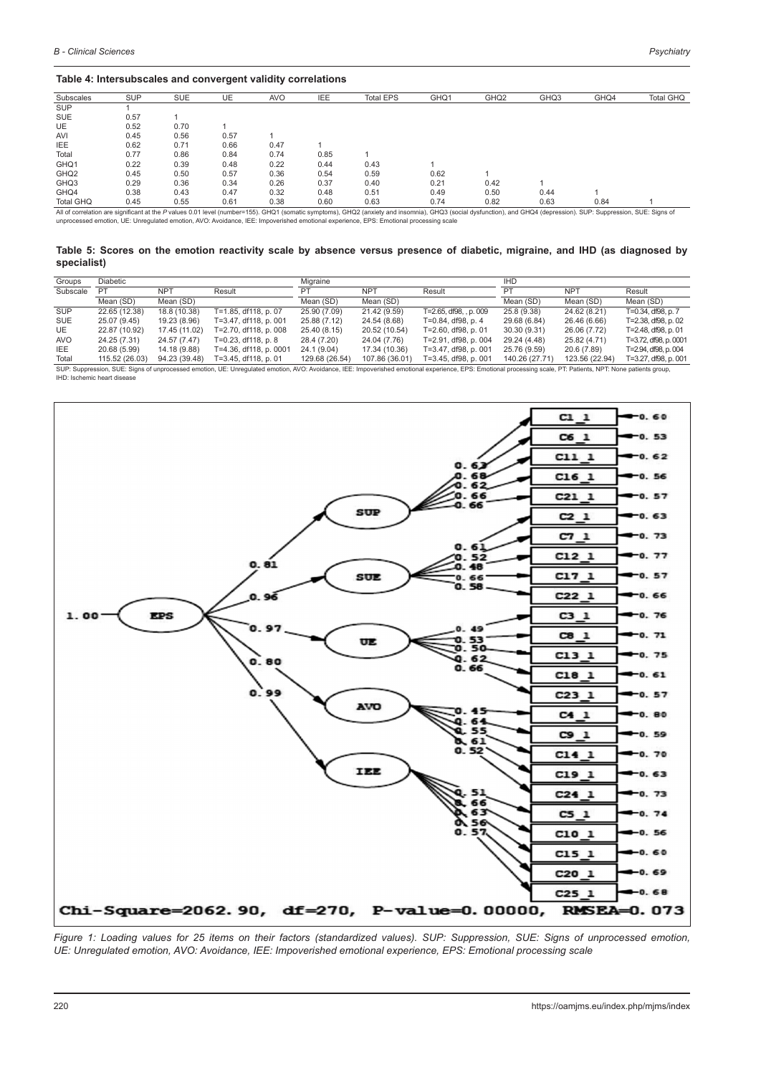#### **Table 4: Intersubscales and convergent validity correlations**

| Subscales        | <b>SUP</b> | <b>SUE</b> | UE   | <b>AVO</b> | IEE  | <b>Total EPS</b>                                                                                                                                                                                                    | GHQ1 | GHQ <sub>2</sub> | GHQ3 | GHQ4 | <b>Total GHQ</b> |
|------------------|------------|------------|------|------------|------|---------------------------------------------------------------------------------------------------------------------------------------------------------------------------------------------------------------------|------|------------------|------|------|------------------|
| <b>SUP</b>       |            |            |      |            |      |                                                                                                                                                                                                                     |      |                  |      |      |                  |
| <b>SUE</b>       | 0.57       |            |      |            |      |                                                                                                                                                                                                                     |      |                  |      |      |                  |
| <b>UE</b>        | 0.52       | 0.70       |      |            |      |                                                                                                                                                                                                                     |      |                  |      |      |                  |
| <b>AVI</b>       | 0.45       | 0.56       | 0.57 |            |      |                                                                                                                                                                                                                     |      |                  |      |      |                  |
| <b>IEE</b>       | 0.62       | 0.71       | 0.66 | 0.47       |      |                                                                                                                                                                                                                     |      |                  |      |      |                  |
| Total            | 0.77       | 0.86       | 0.84 | 0.74       | 0.85 |                                                                                                                                                                                                                     |      |                  |      |      |                  |
| GHQ1             | 0.22       | 0.39       | 0.48 | 0.22       | 0.44 | 0.43                                                                                                                                                                                                                |      |                  |      |      |                  |
| GHQ <sub>2</sub> | 0.45       | 0.50       | 0.57 | 0.36       | 0.54 | 0.59                                                                                                                                                                                                                | 0.62 |                  |      |      |                  |
| GHQ3             | 0.29       | 0.36       | 0.34 | 0.26       | 0.37 | 0.40                                                                                                                                                                                                                | 0.21 | 0.42             |      |      |                  |
| GHQ4             | 0.38       | 0.43       | 0.47 | 0.32       | 0.48 | 0.51                                                                                                                                                                                                                | 0.49 | 0.50             | 0.44 |      |                  |
| Total GHQ        | 0.45       | 0.55       | 0.61 | 0.38       | 0.60 | 0.63                                                                                                                                                                                                                | 0.74 | 0.82             | 0.63 | 0.84 |                  |
|                  |            |            |      |            |      | All of correlation are significant at the P values 0.01 level (number=155). GHQ1 (somatic symptoms), GHQ2 (anxiety and insomnia), GHQ3 (social dysfunction), and GHQ4 (depression). SUP: Suppression, SUE: Signs of |      |                  |      |      |                  |

unprocessed emotion, UE: Unregulated emotion, AVO: Avoidance, IEE: Impoverished emotional experience, EPS: Emotional processing scale

**Table 5: Scores on the emotion reactivity scale by absence versus presence of diabetic, migraine, and IHD (as diagnosed by specialist)**

| Groups     | Diabetic                                                                                                                                                                                                       |               |                        | Migraine       |                |                        | <b>IHD</b>     |                |                       |  |  |
|------------|----------------------------------------------------------------------------------------------------------------------------------------------------------------------------------------------------------------|---------------|------------------------|----------------|----------------|------------------------|----------------|----------------|-----------------------|--|--|
| Subscale   | PT                                                                                                                                                                                                             | <b>NPT</b>    | Result                 | PТ             | <b>NPT</b>     | Result                 | PT             | <b>NPT</b>     | Result                |  |  |
|            | Mean (SD)                                                                                                                                                                                                      | Mean (SD)     |                        | Mean (SD)      | Mean (SD)      |                        | Mean (SD)      | Mean (SD)      | Mean (SD)             |  |  |
| <b>SUP</b> | 22.65 (12.38)                                                                                                                                                                                                  | 18.8 (10.38)  | T=1.85, df118, p. 07   | 25.90 (7.09)   | 21.42 (9.59)   | T=2.65, df98, , p. 009 | 25.8 (9.38)    | 24.62 (8.21)   | T=0.34, df98, p. 7    |  |  |
| SUE        | 25.07 (9.45)                                                                                                                                                                                                   | 19.23 (8.96)  | T=3.47, df118, p. 001  | 25.88 (7.12)   | 24.54 (8.68)   | T=0.84, df98, p. 4     | 29.68 (6.84)   | 26.46 (6.66)   | T=2.38, df98, p. 02   |  |  |
| UE         | 22.87 (10.92)                                                                                                                                                                                                  | 17.45 (11.02) | T=2.70, df118, p. 008  | 25.40 (8.15)   | 20.52 (10.54)  | T=2.60, df98, p. 01    | 30.30 (9.31)   | 26.06 (7.72)   | T=2.48, df98, p, 01   |  |  |
| <b>AVO</b> | 24.25 (7.31)                                                                                                                                                                                                   | 24.57 (7.47)  | T=0.23, df118, p. 8    | 28.4 (7.20)    | 24.04 (7.76)   | T=2.91, df98, p. 004   | 29.24 (4.48)   | 25.82 (4.71)   | T=3.72, df98, p. 0001 |  |  |
| IEE.       | 20.68 (5.99)                                                                                                                                                                                                   | 14.18 (9.88)  | T=4.36, df118, p. 0001 | 24.1 (9.04)    | 17.34 (10.36)  | T=3.47, df98, p. 001   | 25.76 (9.59)   | 20.6 (7.89)    | T=2.94, df98, p. 004  |  |  |
| Total      | 115.52 (26.03)                                                                                                                                                                                                 | 94.23 (39.48) | T=3.45, df118, p. 01   | 129.68 (26.54) | 107.86 (36.01) | T=3.45, df98, p. 001   | 140.26 (27.71) | 123.56 (22.94) | T=3.27, df98, p. 001  |  |  |
|            | SUP: Suppression, SUE: Signs of unprocessed emotion, UE: Unregulated emotion, AVO: Avoidance, IEE: Impoverished emotional experience, EPS: Emotional processing scale, PT: Patients, NPT: None patients group, |               |                        |                |                |                        |                |                |                       |  |  |

IHD: Ischemic heart disease



*Figure 1: Loading values for 25 items on their factors (standardized values). SUP: Suppression, SUE: Signs of unprocessed emotion, UE: Unregulated emotion, AVO: Avoidance, IEE: Impoverished emotional experience, EPS: Emotional processing scale*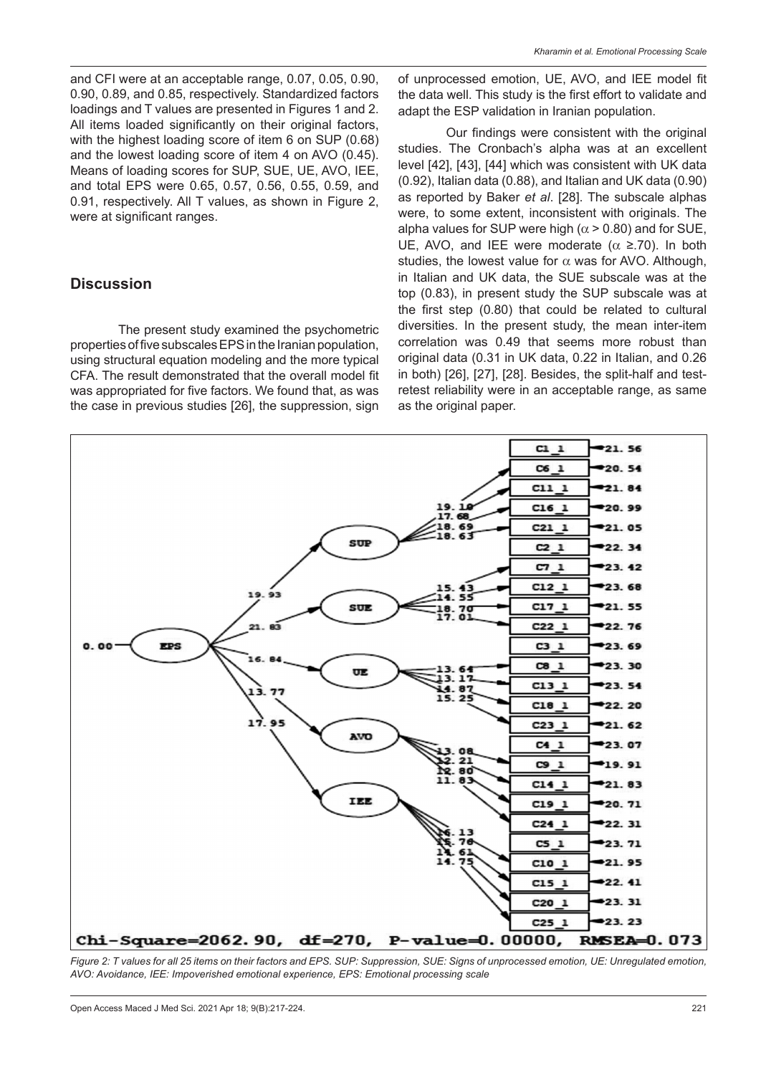and CFI were at an acceptable range, 0.07, 0.05, 0.90, 0.90, 0.89, and 0.85, respectively. Standardized factors loadings and T values are presented in Figures 1 and 2. All items loaded significantly on their original factors, with the highest loading score of item 6 on SUP (0.68) and the lowest loading score of item 4 on AVO (0.45). Means of loading scores for SUP, SUE, UE, AVO, IEE, and total EPS were 0.65, 0.57, 0.56, 0.55, 0.59, and 0.91, respectively. All T values, as shown in Figure 2, were at significant ranges.

# **Discussion**

The present study examined the psychometric properties of five subscales EPS in the Iranian population, using structural equation modeling and the more typical CFA. The result demonstrated that the overall model fit was appropriated for five factors. We found that, as was the case in previous studies [26], the suppression, sign of unprocessed emotion, UE, AVO, and IEE model fit the data well. This study is the first effort to validate and adapt the ESP validation in Iranian population.

Our findings were consistent with the original studies. The Cronbach's alpha was at an excellent level [42], [43], [44] which was consistent with UK data (0.92), Italian data (0.88), and Italian and UK data (0.90) as reported by Baker *et al*. [28]. The subscale alphas were, to some extent, inconsistent with originals. The alpha values for SUP were high ( $\alpha$  > 0.80) and for SUE, UE, AVO, and IEE were moderate ( $\alpha \ge 70$ ). In both studies, the lowest value for  $\alpha$  was for AVO. Although, in Italian and UK data, the SUE subscale was at the top (0.83), in present study the SUP subscale was at the first step (0.80) that could be related to cultural diversities. In the present study, the mean inter-item correlation was 0.49 that seems more robust than original data (0.31 in UK data, 0.22 in Italian, and 0.26 in both) [26], [27], [28]. Besides, the split-half and testretest reliability were in an acceptable range, as same as the original paper.



*Figure 2: T values for all 25 items on their factors and EPS. SUP: Suppression, SUE: Signs of unprocessed emotion, UE: Unregulated emotion, AVO: Avoidance, IEE: Impoverished emotional experience, EPS: Emotional processing scale*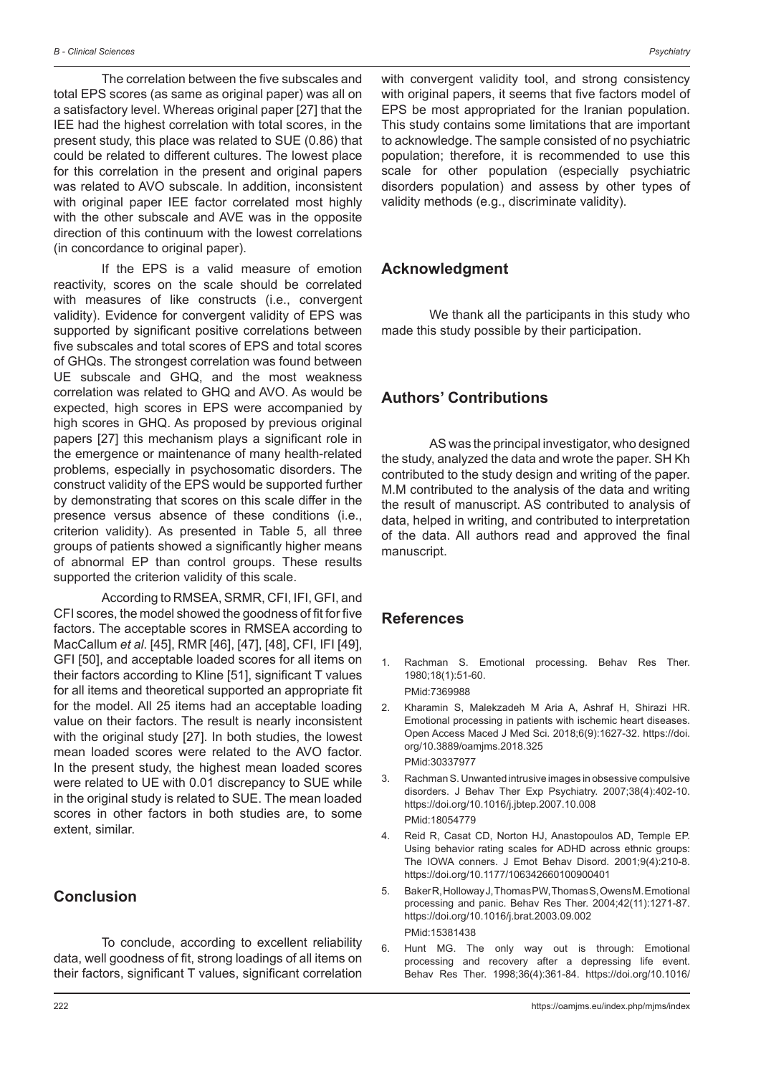The correlation between the five subscales and total EPS scores (as same as original paper) was all on a satisfactory level. Whereas original paper [27] that the IEE had the highest correlation with total scores, in the present study, this place was related to SUE (0.86) that could be related to different cultures. The lowest place for this correlation in the present and original papers was related to AVO subscale. In addition, inconsistent with original paper IEE factor correlated most highly with the other subscale and AVE was in the opposite direction of this continuum with the lowest correlations (in concordance to original paper).

If the EPS is a valid measure of emotion reactivity, scores on the scale should be correlated with measures of like constructs (i.e., convergent validity). Evidence for convergent validity of EPS was supported by significant positive correlations between five subscales and total scores of EPS and total scores of GHQs. The strongest correlation was found between UE subscale and GHQ, and the most weakness correlation was related to GHQ and AVO. As would be expected, high scores in EPS were accompanied by high scores in GHQ. As proposed by previous original papers [27] this mechanism plays a significant role in the emergence or maintenance of many health-related problems, especially in psychosomatic disorders. The construct validity of the EPS would be supported further by demonstrating that scores on this scale differ in the presence versus absence of these conditions (i.e., criterion validity). As presented in Table 5, all three groups of patients showed a significantly higher means of abnormal EP than control groups. These results supported the criterion validity of this scale.

According to RMSEA, SRMR, CFI, IFI, GFI, and CFI scores, the model showed the goodness of fit for five factors. The acceptable scores in RMSEA according to MacCallum *et al*. [45], RMR [46], [47], [48], CFI, IFI [49], GFI [50], and acceptable loaded scores for all items on their factors according to Kline [51], significant T values for all items and theoretical supported an appropriate fit for the model. All 25 items had an acceptable loading value on their factors. The result is nearly inconsistent with the original study [27]. In both studies, the lowest mean loaded scores were related to the AVO factor. In the present study, the highest mean loaded scores were related to UE with 0.01 discrepancy to SUE while in the original study is related to SUE. The mean loaded scores in other factors in both studies are, to some extent, similar.

# **Conclusion**

To conclude, according to excellent reliability data, well goodness of fit, strong loadings of all items on their factors, significant T values, significant correlation with convergent validity tool, and strong consistency with original papers, it seems that five factors model of EPS be most appropriated for the Iranian population. This study contains some limitations that are important to acknowledge. The sample consisted of no psychiatric population; therefore, it is recommended to use this scale for other population (especially psychiatric disorders population) and assess by other types of validity methods (e.g., discriminate validity).

### **Acknowledgment**

We thank all the participants in this study who made this study possible by their participation.

# **Authors' Contributions**

AS was the principal investigator, who designed the study, analyzed the data and wrote the paper. SH Kh contributed to the study design and writing of the paper. M.M contributed to the analysis of the data and writing the result of manuscript. AS contributed to analysis of data, helped in writing, and contributed to interpretation of the data. All authors read and approved the final manuscript.

### **References**

- 1. Rachman S. Emotional processing. Behav Res Ther. 1980;18(1):51-60. PMid:7369988
- 2. Kharamin S, Malekzadeh M Aria A, Ashraf H, Shirazi HR. Emotional processing in patients with ischemic heart diseases. Open Access Maced J Med Sci. 2018;6(9):1627-32. https://doi. org/10.3889/oamjms.2018.325 PMid:30337977
- 3. Rachman S. Unwanted intrusive images in obsessive compulsive disorders. J Behav Ther Exp Psychiatry. 2007;38(4):402-10. https://doi.org/10.1016/j.jbtep.2007.10.008 PMid:18054779
- 4. Reid R, Casat CD, Norton HJ, Anastopoulos AD, Temple EP. Using behavior rating scales for ADHD across ethnic groups: The IOWA conners. J Emot Behav Disord. 2001;9(4):210-8. https://doi.org/10.1177/106342660100900401
- 5. Baker R, Holloway J, Thomas PW, Thomas S, Owens M. Emotional processing and panic. Behav Res Ther. 2004;42(11):1271-87. https://doi.org/10.1016/j.brat.2003.09.002 PMid:15381438
- 6. Hunt MG. The only way out is through: Emotional processing and recovery after a depressing life event. Behav Res Ther. 1998;36(4):361-84. https://doi.org/10.1016/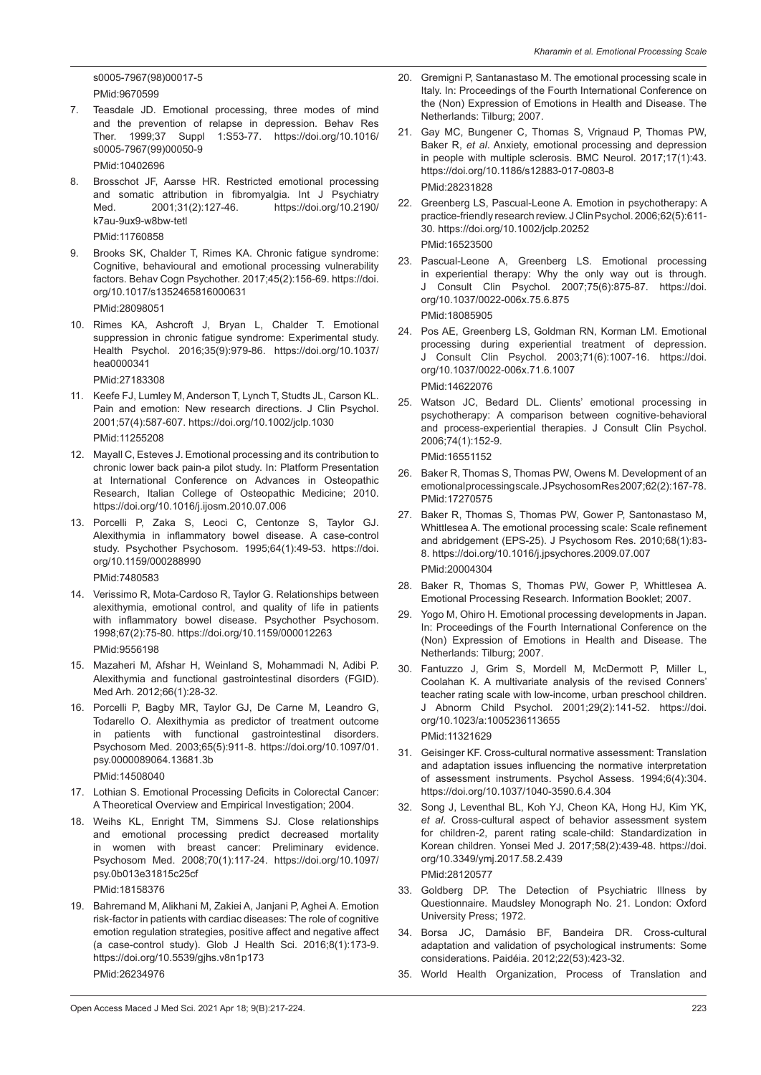s0005-7967(98)00017-5 PMid:9670599

7. Teasdale JD. Emotional processing, three modes of mind and the prevention of relapse in depression. Behav Res<br>Ther. 1999;37 Suppl 1:S53-77. https://doi.org/10.1016/ 1:S53-77. https://doi.org/10.1016/ s0005-7967(99)00050-9

PMid:10402696

8. Brosschot JF, Aarsse HR. Restricted emotional processing and somatic attribution in fibromyalgia. Int J Psychiatry<br>Med. 2001;31(2):127-46. https://doi.org/10.2190/ https://doi.org/10.2190/ k7au-9ux9-w8bw-tetl

PMid:11760858

9. Brooks SK, Chalder T, Rimes KA. Chronic fatigue syndrome: Cognitive, behavioural and emotional processing vulnerability factors. Behav Cogn Psychother. 2017;45(2):156-69. https://doi. org/10.1017/s1352465816000631

PMid:28098051

10. Rimes KA, Ashcroft J, Bryan L, Chalder T. Emotional suppression in chronic fatigue syndrome: Experimental study. Health Psychol. 2016;35(9):979-86. https://doi.org/10.1037/ hea0000341

PMid:27183308

- 11. Keefe FJ, Lumley M, Anderson T, Lynch T, Studts JL, Carson KL. Pain and emotion: New research directions. J Clin Psychol. 2001;57(4):587-607. https://doi.org/10.1002/jclp.1030 PMid:11255208
- 12. Mayall C, Esteves J. Emotional processing and its contribution to chronic lower back pain-a pilot study. In: Platform Presentation at International Conference on Advances in Osteopathic Research, Italian College of Osteopathic Medicine; 2010. https://doi.org/10.1016/j.ijosm.2010.07.006
- 13. Porcelli P, Zaka S, Leoci C, Centonze S, Taylor GJ. Alexithymia in inflammatory bowel disease. A case-control study. Psychother Psychosom. 1995;64(1):49-53. https://doi. org/10.1159/000288990

PMid:7480583

- 14. Verissimo R, Mota-Cardoso R, Taylor G. Relationships between alexithymia, emotional control, and quality of life in patients with inflammatory bowel disease. Psychother Psychosom. 1998;67(2):75-80. https://doi.org/10.1159/000012263 PMid:9556198
- 15. Mazaheri M, Afshar H, Weinland S, Mohammadi N, Adibi P. Alexithymia and functional gastrointestinal disorders (FGID). Med Arh. 2012;66(1):28-32.
- 16. Porcelli P, Bagby MR, Taylor GJ, De Carne M, Leandro G, Todarello O. Alexithymia as predictor of treatment outcome in patients with functional gastrointestinal disorders. Psychosom Med. 2003;65(5):911-8. https://doi.org/10.1097/01. psy.0000089064.13681.3b

PMid:14508040

- 17. Lothian S. Emotional Processing Deficits in Colorectal Cancer: A Theoretical Overview and Empirical Investigation; 2004.
- 18. Weihs KL, Enright TM, Simmens SJ. Close relationships and emotional processing predict decreased mortality in women with breast cancer: Preliminary evidence. Psychosom Med. 2008;70(1):117-24. https://doi.org/10.1097/ psy.0b013e31815c25cf

PMid:18158376

19. Bahremand M, Alikhani M, Zakiei A, Janjani P, Aghei A. Emotion risk-factor in patients with cardiac diseases: The role of cognitive emotion regulation strategies, positive affect and negative affect (a case-control study). Glob J Health Sci. 2016;8(1):173-9. https://doi.org/10.5539/gjhs.v8n1p173 PMid:26234976

- 20. Gremigni P, Santanastaso M. The emotional processing scale in Italy. In: Proceedings of the Fourth International Conference on the (Non) Expression of Emotions in Health and Disease. The Netherlands: Tilburg; 2007.
- 21. Gay MC, Bungener C, Thomas S, Vrignaud P, Thomas PW, Baker R, *et al*. Anxiety, emotional processing and depression in people with multiple sclerosis. BMC Neurol. 2017;17(1):43. https://doi.org/10.1186/s12883-017-0803-8 PMid:28231828
- 22. Greenberg LS, Pascual-Leone A. Emotion in psychotherapy: A practice-friendly research review. J Clin Psychol. 2006;62(5):611- 30. https://doi.org/10.1002/jclp.20252 PMid:16523500
- 23. Pascual-Leone A, Greenberg LS. Emotional processing in experiential therapy: Why the only way out is through. J Consult Clin Psychol. 2007;75(6):875-87. https://doi. org/10.1037/0022-006x.75.6.875

PMid:18085905

- 24. Pos AE, Greenberg LS, Goldman RN, Korman LM. Emotional processing during experiential treatment of depression. J Consult Clin Psychol. 2003;71(6):1007-16. https://doi. org/10.1037/0022-006x.71.6.1007 PMid:14622076
- 25. Watson JC, Bedard DL. Clients' emotional processing in psychotherapy: A comparison between cognitive-behavioral and process-experiential therapies. J Consult Clin Psychol. 2006;74(1):152-9.

PMid:16551152

- 26. Baker R, Thomas S, Thomas PW, Owens M. Development of an emotional processing scale. JPsychosom Res 2007;62(2):167-78. PMid:17270575
- 27. Baker R, Thomas S, Thomas PW, Gower P, Santonastaso M, Whittlesea A. The emotional processing scale: Scale refinement and abridgement (EPS-25). J Psychosom Res. 2010;68(1):83- 8. https://doi.org/10.1016/j.jpsychores.2009.07.007 PMid:20004304
- 28. Baker R, Thomas S, Thomas PW, Gower P, Whittlesea A. Emotional Processing Research. Information Booklet; 2007.
- 29. Yogo M, Ohiro H. Emotional processing developments in Japan. In: Proceedings of the Fourth International Conference on the (Non) Expression of Emotions in Health and Disease. The Netherlands: Tilburg; 2007.
- 30. Fantuzzo J, Grim S, Mordell M, McDermott P, Miller L, Coolahan K. A multivariate analysis of the revised Conners' teacher rating scale with low-income, urban preschool children. J Abnorm Child Psychol. 2001;29(2):141-52. https://doi. org/10.1023/a:1005236113655

PMid:11321629

- 31. Geisinger KF. Cross-cultural normative assessment: Translation and adaptation issues influencing the normative interpretation of assessment instruments. Psychol Assess. 1994;6(4):304. https://doi.org/10.1037/1040-3590.6.4.304
- 32. Song J, Leventhal BL, Koh YJ, Cheon KA, Hong HJ, Kim YK, *et al*. Cross-cultural aspect of behavior assessment system for children-2, parent rating scale-child: Standardization in Korean children. Yonsei Med J. 2017;58(2):439-48. https://doi. org/10.3349/ymj.2017.58.2.439 PMid:28120577

- 33. Goldberg DP. The Detection of Psychiatric Illness by Questionnaire. Maudsley Monograph No. 21. London: Oxford University Press; 1972.
- 34. Borsa JC, Damásio BF, Bandeira DR. Cross-cultural adaptation and validation of psychological instruments: Some considerations. Paidéia. 2012;22(53):423-32.
- 35. World Health Organization, Process of Translation and